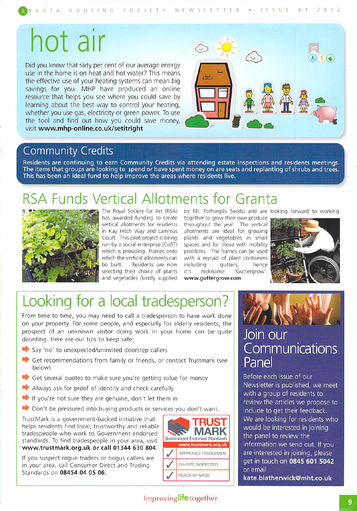GRANTA HOUSING SOCIETY NEWSLETTER • ISSUE 41 2012

# hot air

Did you know that sixty per cent of our average energy use in the home is on heat and hot water? This means the effective use of your heating systems can mean big savings for you. MHP have produced an online resource that helps you see where you could save by learning about the best way to control your heating, whether you use gas, electricity or green power. To use the tool and find out how you could save money, visit www.mhp-online.co.uk/setitright



### Community Credits

Residents are continuing to earn Community Credits via attending estate inspections and residents meetings. The items that groups are looking to spend or have spent money on are seats and replanting of shrubs and trees. This has been an ideal fund to help improve the areas where residents live.

## RSA Funds Vertical Allotments for Granta



The Royal Society for Art (RSA) has awarded funding to create vertical allotments for residents in Kay Hitch Way and Lammas Court. This pilot project is being run by a social enterprise (CoST) which is providing frames onto which the vertical allotments can be built. Residents are now selecting their choice of plants and vegetables (kindly supplied

by Mr. Fothergills Seeds) and are looking forward to working together to grow their own produce

throughout the year. The vertical allotments are ideal for growing plants and vegetables in small spaces and for those with mobility problems. The frames can be used with a myriad of plant containers including gutters, hence it's nickname 'Guttergrow'. vvww.guttergrow.com



## Looking for a local tradesperson?

From time to time, you may need to call a tradesperson to have work done on your property. For some people, and especially for elderly residents, the prospect of an unknown visitor doing work in your home can be quite daunting. Here are our tips to keep safe:

- $\blacktriangleright$  Say 'no' to unexpected/uninvited doorstep callers
- Get recommendations from family or friends, or contact Trustmark (see below)
- $\blacktriangleright$  Get several quotes to make sure you're getting value for money
- $\blacktriangleright$  Always ask for proof of identity and check carefully
- If you're not sure they are genuine, don't let them in
- $\blacktriangleright$  Don't be pressured into buying products or services you don't want.

TrustMark is a government-backed initiative that helps residents find local, trustworthy and reliable tradespeople who work to Government endorsed standards. To find tradespeople in your area, visit 'www.trustmark.org.uk or call 01344 630 804.

If you suspect rogue traders or bogus callers are in your area, call Consumer Direct and Trading Standards on 08454 04 05 06.



### Join our **Communications** Panel

Before each issue of our Newsletter is published, we meet with a group of residents to review the articles we propose to include to get their feedback. We are looking for residents who would be interested in joining the panel to review the information we send out. If you are interested in joining, please get in touch on 0845 601 5042 or email

kate.blatherwick@mht.co.uk